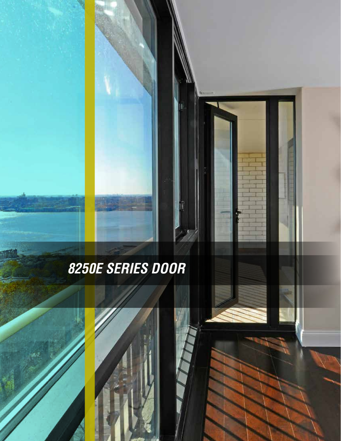# **8250E SERIES DOOR**

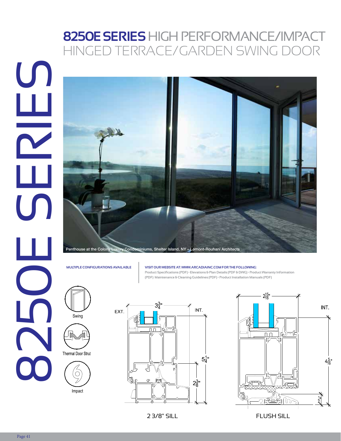### **8250E SERIES** HIGH PERFORMANCE/IMPACT HINGED TERRACE/GARDEN SWING DOOR



Blast

#### **MULTIPLE CONFIGURATIONS AVAILABLE VISIT OUR WEBSITE AT: WWW.ARCADIAINC.COM FOR THE FOLLOWING:**

**Product Specifications (PDF) • Elevations & Plan Details (PDF & DWG) • Product Warranty Information**  (PDF) Maintenance & Cleaning Guidelines (PDF) • Product Installation Manuals (PDF)<br>'





Thermal Door Strut





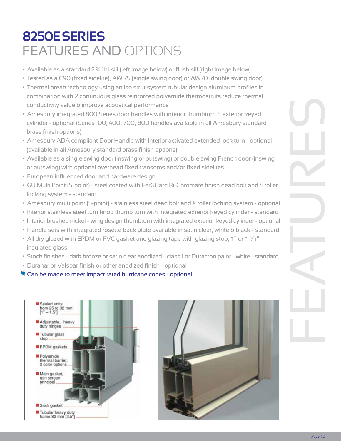## **8250E SERIES** FEATURES AND OPTIONS

- $\bullet$  Available as a standard 2 %" hi-sill (left image below) or flush sill (right image below)
- Tested as a C90 (fixed sidelite), AW 75 (single swing door) or AW70 (double swing door)
- Thermal break technology using an iso strut system tubular design aluminum profiles in combination with 2 continuous glass reinforced polyamide thermostruts reduce thermal conductivity value & improve acoustical performance
- Amesbury integrated 800 Series door handles with interior thumbturn & exterior keyed cylinder - optional (Series 100, 400, 700, 800 handles available in all Amesbury standard brass finish options)
- Amesbury ADA compliant Door Handle with Interior activated extended lock turn optional (available in all Amesbury standard brass finish options)
- Available as a single swing door (inswing or outswing) or double swing French door (inswing or outswing) with optional overhead fixed transoms and/or fixed sidelites
- European influenced door and hardware design
- GU Multi Point (5-point) steel coated with FerGUard Bi-Chromate finish dead bolt and 4 roller locking system - standard
- Amesbury multi point (5-point) stainless steel dead bolt and 4 roller locking system optional
- Interior stainless steel turn knob thumb turn with integrated exterior keyed cylinder standard
- Interior brushed nickel wing design thumbturn with integrated exterior keyed cylinder optional
- Handle sets with integrated rosette back plate available in satin clear, white & black standard
- All dry glazed with EPDM or PVC gasket and glazing tape with glazing stop, 1" or 1  $\frac{1}{6}$ " insulated glass
- Stock finishes dark bronze or satin clear anodized class 1 or Duracron paint white standard
- Duranar or Valspar finish or other anodized finish optional
- $\bullet$  Can be made to meet impact rated hurricane codes optional



**LEEDS CERTIFIED**

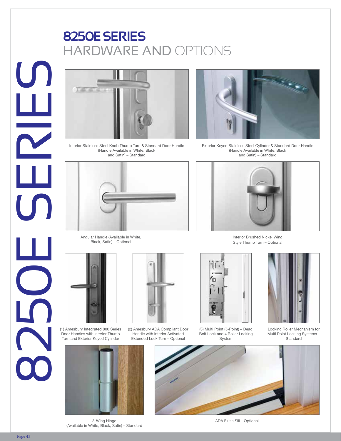### **8250E SERIES** HARDWARE AND OPTIONS



Interior Stainless Steel Knob Thumb Turn & Standard Door Handle (Handle Available in White, Black and Satin) – Standard



Exterior Keyed Stainless Steel Cylinder & Standard Door Handle (Handle Available in White, Black and Satin) – Standard



Angular Handle (Available in White, Black, Satin) – Optional



(1) Amesbury Integrated 800 Series Door Handles with interior Thumb Turn and Exterior Keyed Cylinder



(2) Amesbury ADA Compliant Door Handle with Interior Activated Extended Lock Turn – Optional



(3) Multi Point (5-Point) – Dead Bolt Lock and 4 Roller Locking System



Locking Roller Mechanism for Multi Point Locking Systems – **Standard** 



3-Wing Hinge (Available in White, Black, Satin) – Standard



ADA Flush Sill – Optional



Interior Brushed Nickel Wing Style Thumb Turn – Optional

**8250E SERIES** 

L<br>U

 $\mathbf{L}$